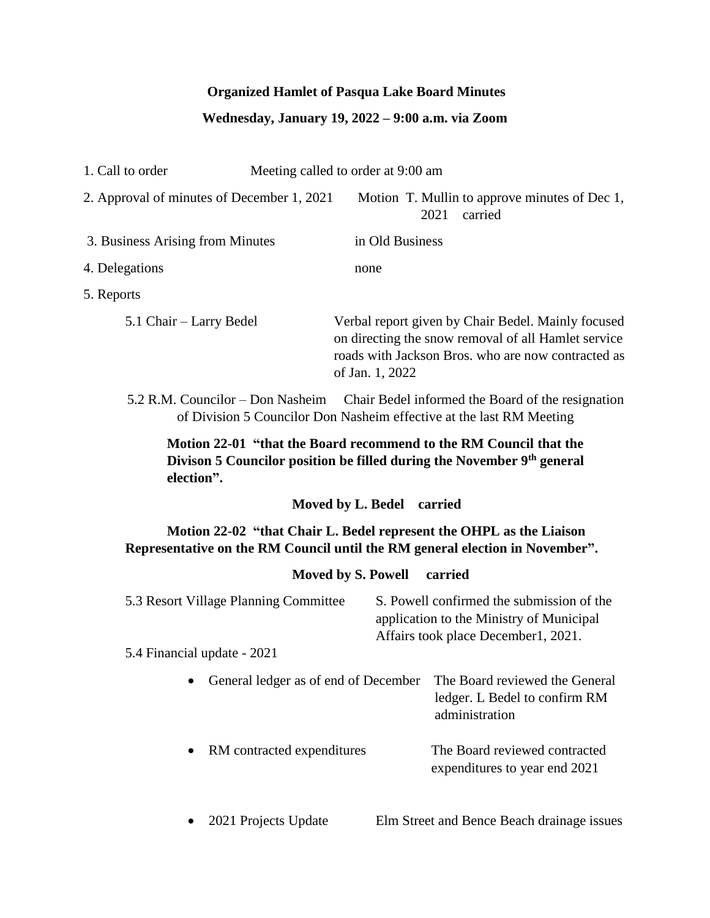# **Organized Hamlet of Pasqua Lake Board Minutes**

# **Wednesday, January 19, 2022 – 9:00 a.m. via Zoom**

| 1. Call to order                                                                                                                                    | Meeting called to order at 9:00 am                                                                                                                                                 |  |
|-----------------------------------------------------------------------------------------------------------------------------------------------------|------------------------------------------------------------------------------------------------------------------------------------------------------------------------------------|--|
| 2. Approval of minutes of December 1, 2021                                                                                                          | Motion T. Mullin to approve minutes of Dec 1,<br>2021<br>carried                                                                                                                   |  |
| 3. Business Arising from Minutes                                                                                                                    | in Old Business                                                                                                                                                                    |  |
| 4. Delegations                                                                                                                                      | none                                                                                                                                                                               |  |
| 5. Reports                                                                                                                                          |                                                                                                                                                                                    |  |
| 5.1 Chair – Larry Bedel                                                                                                                             | Verbal report given by Chair Bedel. Mainly focused<br>on directing the snow removal of all Hamlet service<br>roads with Jackson Bros. who are now contracted as<br>of Jan. 1, 2022 |  |
|                                                                                                                                                     | 5.2 R.M. Councilor – Don Nasheim Chair Bedel informed the Board of the resignation<br>of Division 5 Councilor Don Nasheim effective at the last RM Meeting                         |  |
| election".                                                                                                                                          | Motion 22-01 "that the Board recommend to the RM Council that the<br>Divison 5 Councilor position be filled during the November 9th general                                        |  |
|                                                                                                                                                     | Moved by L. Bedel<br>carried                                                                                                                                                       |  |
| Motion 22-02 "that Chair L. Bedel represent the OHPL as the Liaison<br>Representative on the RM Council until the RM general election in November". |                                                                                                                                                                                    |  |
|                                                                                                                                                     | <b>Moved by S. Powell</b><br>carried                                                                                                                                               |  |
| 5.3 Resort Village Planning Committee                                                                                                               | S. Powell confirmed the submission of the<br>application to the Ministry of Municipal<br>Affairs took place December1, 2021.                                                       |  |
| 5.4 Financial update - 2021                                                                                                                         |                                                                                                                                                                                    |  |
|                                                                                                                                                     | • General ledger as of end of December The Board reviewed the General<br>ledger. L Bedel to confirm RM<br>administration                                                           |  |
| RM contracted expenditures                                                                                                                          | The Board reviewed contracted<br>expenditures to year end 2021                                                                                                                     |  |
|                                                                                                                                                     |                                                                                                                                                                                    |  |

• 2021 Projects Update Elm Street and Bence Beach drainage issues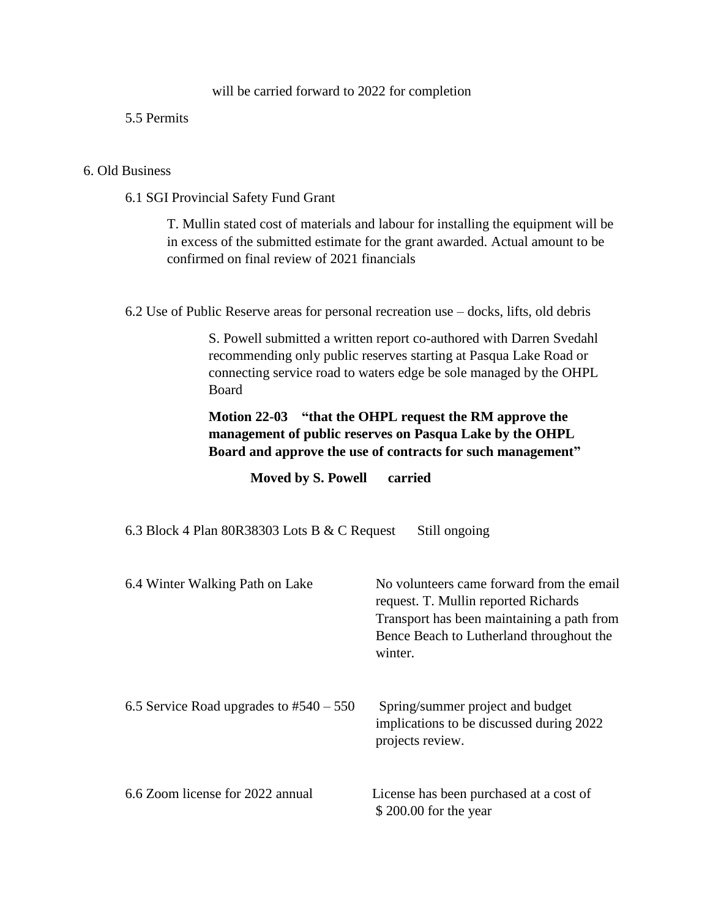### will be carried forward to 2022 for completion

### 5.5 Permits

### 6. Old Business

6.1 SGI Provincial Safety Fund Grant

T. Mullin stated cost of materials and labour for installing the equipment will be in excess of the submitted estimate for the grant awarded. Actual amount to be confirmed on final review of 2021 financials

6.2 Use of Public Reserve areas for personal recreation use – docks, lifts, old debris

S. Powell submitted a written report co-authored with Darren Svedahl recommending only public reserves starting at Pasqua Lake Road or connecting service road to waters edge be sole managed by the OHPL Board

## **Motion 22-03 "that the OHPL request the RM approve the management of public reserves on Pasqua Lake by the OHPL Board and approve the use of contracts for such management"**

**Moved by S. Powell carried**

6.3 Block 4 Plan 80R38303 Lots B & C Request Still ongoing

| 6.4 Winter Walking Path on Lake           | No volunteers came forward from the email<br>request. T. Mullin reported Richards<br>Transport has been maintaining a path from<br>Bence Beach to Lutherland throughout the<br>winter. |
|-------------------------------------------|----------------------------------------------------------------------------------------------------------------------------------------------------------------------------------------|
| 6.5 Service Road upgrades to $#540 - 550$ | Spring/summer project and budget<br>implications to be discussed during 2022<br>projects review.                                                                                       |
| 6.6 Zoom license for 2022 annual          | License has been purchased at a cost of<br>\$200.00 for the year                                                                                                                       |